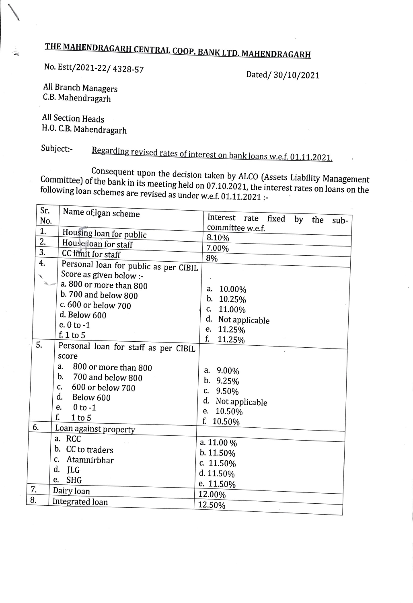## **THE MAHENDRAGARH CENTRAL COOP. BANK LTD. MAHENDRAGARH**

No. Estt/2021-22/ 4328-57

Dated/ 30/10/2021

All Branch Managers C.B. Mahendragarh

All Section Heads H.O. C.B. Mahendragarh

 $\diagdown$ 

Subject:-<br>Regarding revised rates of interest on bank loans w.e.f. 01.11.2021.

Consequent upon the decision taken by ALCO (Assets Liability Management Committee) of the bank in its meeting held on 07.10.2021, the interest rates on loans on the following loan schemes are revised as under w.e.f. 01.11.2021 :-

| Sr.          | Name of loan scheme                   |                                             |  |  |  |  |
|--------------|---------------------------------------|---------------------------------------------|--|--|--|--|
| No.          |                                       | Interest<br>rate<br>fixed<br>by the<br>sub- |  |  |  |  |
| 1.           | Housing loan for public               | committee w.e.f.                            |  |  |  |  |
| 2.           | House loan for staff                  | 8.10%                                       |  |  |  |  |
| 3.           | CC limit for staff                    | 7.00%                                       |  |  |  |  |
| 4.           |                                       | 8%                                          |  |  |  |  |
|              | Personal loan for public as per CIBIL |                                             |  |  |  |  |
| $\checkmark$ | Score as given below :-               |                                             |  |  |  |  |
|              | a. 800 or more than 800               | 10.00%<br>a.                                |  |  |  |  |
|              | b. 700 and below 800                  | b.<br>10.25%                                |  |  |  |  |
|              | c. 600 or below 700                   | 11.00%<br>C.                                |  |  |  |  |
|              | d. Below 600                          | d.<br>Not applicable                        |  |  |  |  |
|              | e. $0$ to $-1$                        | 11.25%<br>e.                                |  |  |  |  |
|              | f. 1 to 5                             | f.<br>11.25%                                |  |  |  |  |
| 5.           | Personal loan for staff as per CIBIL  |                                             |  |  |  |  |
|              | score                                 |                                             |  |  |  |  |
|              | 800 or more than 800<br>a.            | a. 9.00%                                    |  |  |  |  |
|              | b.<br>700 and below 800               | $b. \t9.25%$                                |  |  |  |  |
|              | 600 or below 700<br>$\mathbf{C}$      | 9.50%<br>C.                                 |  |  |  |  |
|              | d.<br>Below 600                       | d. Not applicable                           |  |  |  |  |
|              | $0$ to $-1$<br>e.                     | e. 10.50%                                   |  |  |  |  |
|              | f.<br>$1$ to $5$                      | f. 10.50%                                   |  |  |  |  |
| 6.           | Loan against property                 |                                             |  |  |  |  |
|              | a. RCC                                | a. 11.00 %                                  |  |  |  |  |
|              | b. CC to traders                      | $b. 11.50\%$                                |  |  |  |  |
|              | Atamnirbhar<br>C.                     | c. 11.50%                                   |  |  |  |  |
|              | d.<br>JLG                             | d. 11.50%                                   |  |  |  |  |
|              | <b>SHG</b><br>e.                      | e. 11.50%                                   |  |  |  |  |
| 7.           | Dairy loan                            | 12.00%                                      |  |  |  |  |
| 8.           | Integrated loan                       | 12.50%                                      |  |  |  |  |
|              |                                       |                                             |  |  |  |  |